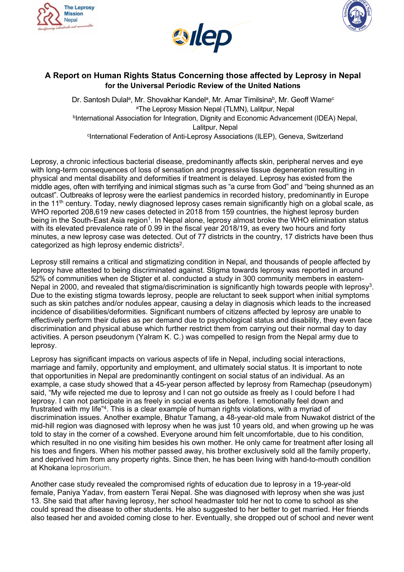





# **A Report on Human Rights Status Concerning those affected by Leprosy in Nepal for the Universal Periodic Review of the United Nations**

Dr. Santosh Dulalª, Mr. Shovakhar Kandelª, Mr. Amar Timilsina<sup>b</sup>, Mr. Geoff Warne<sup>c</sup> a The Leprosy Mission Nepal (TLMN), Lalitpur, Nepal **DInternational Association for Integration, Dignity and Economic Advancement (IDEA) Nepal,** Lalitpur, Nepal c International Federation of Anti-Leprosy Associations (ILEP), Geneva, Switzerland

Leprosy, <sup>a</sup> chronic infectious bacterial disease, predominantly affects skin, peripheral nerves and eye with long-term consequences of loss of sensation and progressive tissue degeneration resulting in physical and mental disability and deformities if treatment is delayed. Leprosy has existed from the middle ages, often with terrifying and inimical stigmas such as "<sup>a</sup> curse from God" and "being shunned as an outcast". Outbreaks of leprosy were the earliest pandemics in recorded history, predominantly in Europe in the 11<sup>th</sup> century. Today, newly diagnosed leprosy cases remain significantly high on a global scale, as WHO reported 208,619 new cases detected in 2018 from 159 countries, the highest leprosy burden being in the South-East Asia region $^{\rm 1}$ . In Nepal alone, leprosy almost broke the WHO elimination status with its elevated prevalence rate of 0.99 in the fiscal year 2018/19, as every two hours and forty minutes, <sup>a</sup> new leprosy case was detected. Out of 77 districts in the country, 17 districts have been thus categorized as high leprosy endemic districts $^2$ .

Leprosy still remains <sup>a</sup> critical and stigmatizing condition in Nepal, and thousands of people affected by leprosy have attested to being discriminated against. Stigma towards leprosy was reported in around 52% of communities when de Stigter et al. conducted <sup>a</sup> study in 300 community members in eastern-Nepal in 2000, and revealed that stigma/discrimination is significantly high towards people with leprosy $^3$ . Due to the existing stigma towards leprosy, people are reluctant to seek support when initial symptoms such as skin patches and/or nodules appear, causing <sup>a</sup> delay in diagnosis which leads to the increased incidence of disabilities/deformities. Significant numbers of citizens affected by leprosy are unable to effectively perform their duties as per demand due to psychological status and disability, they even face discrimination and physical abuse which further restrict them from carrying out their normal day to day activities. A person pseudonym (Yalram K. C.) was compelled to resign from the Nepal army due to leprosy.

Leprosy has significant impacts on various aspects of life in Nepal, including social interactions, marriage and family, opportunity and employment, and ultimately social status. It is important to note that opportunities in Nepal are predominantly contingent on social status of an individual. As an example, <sup>a</sup> case study showed that <sup>a</sup> 45-year person affected by leprosy from Ramechap (pseudonym) said, "My wife rejected me due to leprosy and I can not go outside as freely as I could before I had leprosy. I can not participate in as freely in social events as before. I emotionally feel down and frustrated with my life"<sup>4</sup>. This is a clear example of human rights violations, with a myriad of discrimination issues. Another example, Bhatur Tamang, <sup>a</sup> 48-year-old male from Nuwakot district of the mid-hill region was diagnosed with leprosy when he was just 10 years old, and when growing up he was told to stay in the corner of <sup>a</sup> cowshed. Everyone around him felt uncomfortable, due to his condition, which resulted in no one visiting him besides his own mother. He only came for treatment after losing all his toes and fingers. When his mother passed away, his brother exclusively sold all the family property, and deprived him from any property rights. Since then, he has been living with hand-to-mouth condition at Khokana leprosorium.

Another case study revealed the compromised rights of education due to leprosy in <sup>a</sup> 19-year-old female, Paniya Yadav, from eastern Terai Nepal. She was diagnosed with leprosy when she was just 13. She said that after having leprosy, her school headmaster told her not to come to school as she could spread the disease to other students. He also suggested to her better to get married. Her friends also teased her and avoided coming close to her. Eventually, she dropped out of school and never went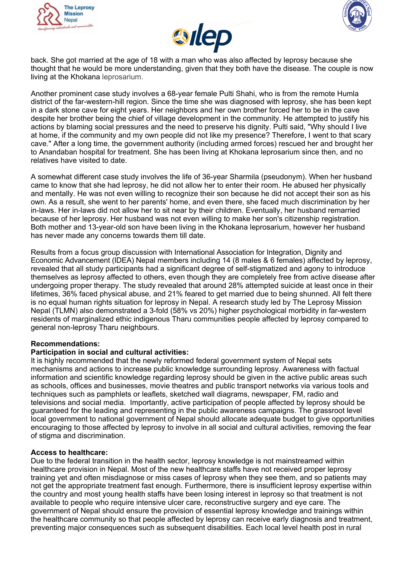





back. She got married at the age of 18 with <sup>a</sup> man who was also affected by leprosy because she thought that he would be more understanding, given that they both have the disease. The couple is now living at the Khokana leprosarium.

Another prominent case study involves <sup>a</sup> 68-year female Pulti Shahi, who is from the remote Humla district of the far-western-hill region. Since the time she was diagnosed with leprosy, she has been kept in <sup>a</sup> dark stone cave for eight years. Her neighbors and her own brother forced her to be in the cave despite her brother being the chief of village development in the community. He attempted to justify his actions by blaming social pressures and the need to preserve his dignity. Pulti said, "Why should I live at home, if the community and my own people did not like my presence? Therefore, I went to that scary cave." After <sup>a</sup> long time, the government authority (including armed forces) rescued her and brought her to Anandaban hospital for treatment. She has been living at Khokana leprosarium since then, and no relatives have visited to date.

A somewhat different case study involves the life of 36-year Sharmila (pseudonym). When her husband came to know that she had leprosy, he did not allow her to enter their room. He abused her physically and mentally. He was not even willing to recognize their son because he did not accept their son as his own. As <sup>a</sup> result, she went to her parents' home, and even there, she faced much discrimination by her in-laws. Her in-laws did not allow her to sit near by their children. Eventually, her husband remarried because of her leprosy. Her husband was not even willing to make her son's citizenship registration. Both mother and 13-year-old son have been living in the Khokana leprosarium, however her husband has never made any concerns towards them till date.

Results from <sup>a</sup> focus group discussion with International Association for Integration, Dignity and Economic Advancement (IDEA) Nepal members including 14 (8 males & 6 females) affected by leprosy, revealed that all study participants had <sup>a</sup> significant degree of self-stigmatized and agony to introduce themselves as leprosy affected to others, even though they are completely free from active disease after undergoing proper therapy. The study revealed that around 28% attempted suicide at least once in their lifetimes, 36% faced physical abuse, and 21% feared to get married due to being shunned. All felt there is no equal human rights situation for leprosy in Nepal. A research study led by The Leprosy Mission Nepal (TLMN) also demonstrated <sup>a</sup> 3-fold (58% vs 20%) higher psychological morbidity in far-western residents of marginalized ethic indigenous Tharu communities people affected by leprosy compared to general non-leprosy Tharu neighbours.

# **Recommendations:**

# **Participation in social and cultural activities:**

It is highly recommended that the newly reformed federal government system of Nepal sets mechanisms and actions to increase public knowledge surrounding leprosy. Awareness with factual information and scientific knowledge regarding leprosy should be given in the active public areas such as schools, offices and businesses, movie theatres and public transport networks via various tools and techniques such as pamphlets or leaflets, sketched wall diagrams, newspaper, FM, radio and televisions and social media. Importantly, active participation of people affected by leprosy should be guaranteed for the leading and representing in the public awareness campaigns. The grassroot level local government to national government of Nepal should allocate adequate budget to give opportunities encouraging to those affected by leprosy to involve in all social and cultural activities, removing the fear of stigma and discrimination.

## **Access to healthcare:**

Due to the federal transition in the health sector, leprosy knowledge is not mainstreamed within healthcare provision in Nepal. Most of the new healthcare staffs have not received proper leprosy training yet and often misdiagnose or miss cases of leprosy when they see them, and so patients may not get the appropriate treatment fast enough. Furthermore, there is insufficient leprosy expertise within the country and most young health staffs have been losing interest in leprosy so that treatment is not available to people who require intensive ulcer care, reconstructive surgery and eye care. The government of Nepal should ensure the provision of essential leprosy knowledge and trainings within the healthcare community so that people affected by leprosy can receive early diagnosis and treatment, preventing major consequences such as subsequent disabilities. Each local level health post in rural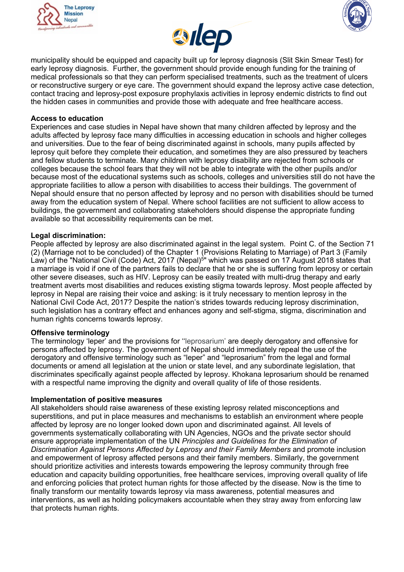





municipality should be equipped and capacity built up for leprosy diagnosis (Slit Skin Smear Test) for early leprosy diagnosis. Further, the government should provide enough funding for the training of medical professionals so that they can perform specialised treatments, such as the treatment of ulcers or reconstructive surgery or eye care. The government should expand the leprosy active case detection, contact tracing and leprosy-post exposure prophylaxis activities in leprosy endemic districts to find out the hidden cases in communities and provide those with adequate and free healthcare access.

## **Access to education**

Experiences and case studies in Nepal have shown that many children affected by leprosy and the adults affected by leprosy face many difficulties in accessing education in schools and higher colleges and universities. Due to the fear of being discriminated against in schools, many pupils affected by leprosy quit before they complete their education, and sometimes they are also pressured by teachers and fellow students to terminate. Many children with leprosy disability are rejected from schools or colleges because the school fears that they will not be able to integrate with the other pupils and/or because most of the educational systems such as schools, colleges and universities still do not have the appropriate facilities to allow <sup>a</sup> person with disabilities to access their buildings. The government of Nepal should ensure that no person affected by leprosy and no person with disabilities should be turned away from the education system of Nepal. Where school facilities are not sufficient to allow access to buildings, the government and collaborating stakeholders should dispense the appropriate funding available so that accessibility requirements can be met.

## **Legal discrimination:**

People affected by leprosy are also discriminated against in the legal system. Point C. of the Section 71 (2) (Marriage not to be concluded) of the Chapter 1 (Provisions Relating to Marriage) of Part 3 (Family Law) of the "National Civil (Code) Act, 2017 (Nepal) 5 " which was passed on 17 August 2018 states that <sup>a</sup> marriage is void if one of the partners fails to declare that he or she is suffering from leprosy or certain other severe diseases, such as HIV. Leprosy can be easily treated with multi-drug therapy and early treatment averts most disabilities and reduces existing stigma towards leprosy. Most people affected by leprosy in Nepal are raising their voice and asking: is it truly necessary to mention leprosy in the National Civil Code Act, 2017? Despite the nation'<sup>s</sup> strides towards reducing leprosy discrimination, such legislation has a contrary effect and enhances agony and self-stigma, stigma, discrimination and human rights concerns towards leprosy.

## **Offensive terminology**

The terminology 'leper' and the provisions for ''leprosarium' are deeply derogatory and offensive for persons affected by leprosy. The government of Nepal should immediately repeal the use of the derogatory and offensive terminology such as "leper" and "leprosarium" from the legal and formal documents or amend all legislation at the union or state level, and any subordinate legislation, that discriminates specifically against people affected by leprosy. Khokana leprosarium should be renamed with <sup>a</sup> respectful name improving the dignity and overall quality of life of those residents.

## **Implementation of positive measures**

All stakeholders should raise awareness of these existing leprosy related misconceptions and superstitions, and put in place measures and mechanisms to establish an environment where people affected by leprosy are no longer looked down upon and discriminated against. All levels of governments systematically collaborating with UN Agencies, NGOs and the private sector should ensure appropriate implementation of the UN *Principles and Guidelines for the Elimination of Discrimination Against Persons Affected by Leprosy and their Family Members* and promote inclusion and empowerment of leprosy affected persons and their family members. Similarly, the government should prioritize activities and interests towards empowering the leprosy community through free education and capacity building opportunities, free healthcare services, improving overall quality of life and enforcing policies that protect human rights for those affected by the disease. Now is the time to finally transform our mentality towards leprosy via mass awareness, potential measures and interventions, as well as holding policymakers accountable when they stray away from enforcing law that protects human rights.